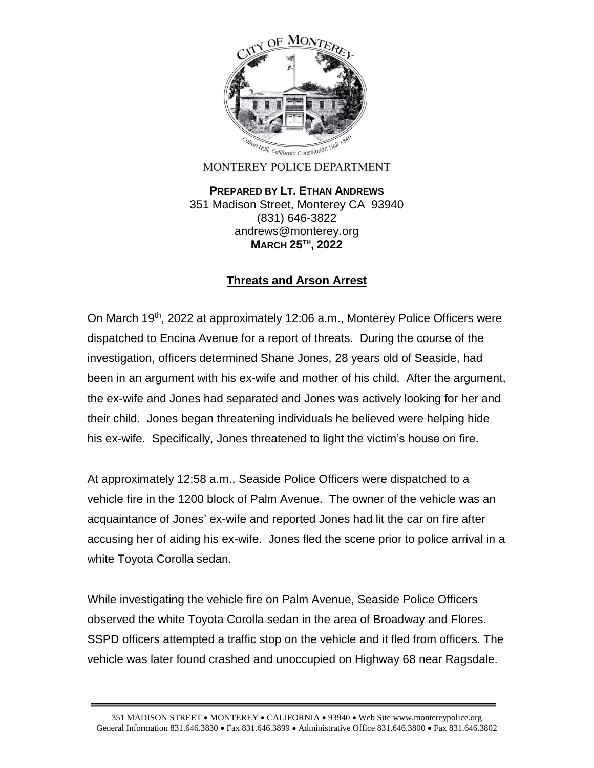

MONTEREY POLICE DEPARTMENT

**PREPARED BY LT. ETHAN ANDREWS** 351 Madison Street, Monterey CA 93940 (831) 646-3822 andrews@monterey.org **MARCH 25TH , 2022**

## **Threats and Arson Arrest**

On March 19<sup>th</sup>, 2022 at approximately 12:06 a.m., Monterey Police Officers were dispatched to Encina Avenue for a report of threats. During the course of the investigation, officers determined Shane Jones, 28 years old of Seaside, had been in an argument with his ex-wife and mother of his child. After the argument, the ex-wife and Jones had separated and Jones was actively looking for her and their child. Jones began threatening individuals he believed were helping hide his ex-wife. Specifically, Jones threatened to light the victim's house on fire.

At approximately 12:58 a.m., Seaside Police Officers were dispatched to a vehicle fire in the 1200 block of Palm Avenue. The owner of the vehicle was an acquaintance of Jones' ex-wife and reported Jones had lit the car on fire after accusing her of aiding his ex-wife. Jones fled the scene prior to police arrival in a white Toyota Corolla sedan.

While investigating the vehicle fire on Palm Avenue, Seaside Police Officers observed the white Toyota Corolla sedan in the area of Broadway and Flores. SSPD officers attempted a traffic stop on the vehicle and it fled from officers. The vehicle was later found crashed and unoccupied on Highway 68 near Ragsdale.